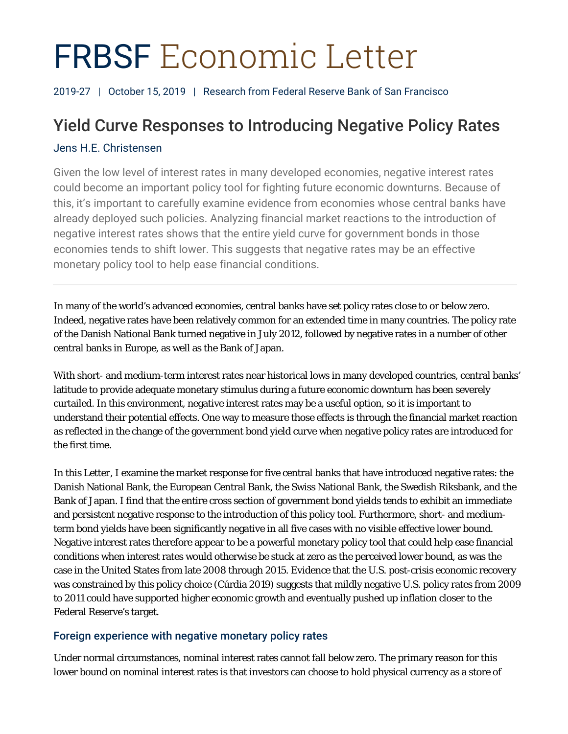# FRBSF Economic Letter

2019-27 | October 15, 2019 | Research from Federal Reserve Bank of San Francisco

## Yield Curve Responses to Introducing Negative Policy Rates

## Jens H.E. Christensen

Given the low level of interest rates in many developed economies, negative interest rates could become an important policy tool for fighting future economic downturns. Because of this, it's important to carefully examine evidence from economies whose central banks have already deployed such policies. Analyzing financial market reactions to the introduction of negative interest rates shows that the entire yield curve for government bonds in those economies tends to shift lower. This suggests that negative rates may be an effective monetary policy tool to help ease financial conditions.

In many of the world's advanced economies, central banks have set policy rates close to or below zero. Indeed, negative rates have been relatively common for an extended time in many countries. The policy rate of the Danish National Bank turned negative in July 2012, followed by negative rates in a number of other central banks in Europe, as well as the Bank of Japan.

With short- and medium-term interest rates near historical lows in many developed countries, central banks' latitude to provide adequate monetary stimulus during a future economic downturn has been severely curtailed. In this environment, negative interest rates may be a useful option, so it is important to understand their potential effects. One way to measure those effects is through the financial market reaction as reflected in the change of the government bond yield curve when negative policy rates are introduced for the first time.

In this *Letter*, I examine the market response for five central banks that have introduced negative rates: the Danish National Bank, the European Central Bank, the Swiss National Bank, the Swedish Riksbank, and the Bank of Japan. I find that the entire cross section of government bond yields tends to exhibit an immediate and persistent negative response to the introduction of this policy tool. Furthermore, short- and mediumterm bond yields have been significantly negative in all five cases with no visible effective lower bound. Negative interest rates therefore appear to be a powerful monetary policy tool that could help ease financial conditions when interest rates would otherwise be stuck at zero as the perceived lower bound, as was the case in the United States from late 2008 through 2015. Evidence that the U.S. post-crisis economic recovery was constrained by this policy choice (Cúrdia 2019) suggests that mildly negative U.S. policy rates from 2009 to 2011 could have supported higher economic growth and eventually pushed up inflation closer to the Federal Reserve's target.

## Foreign experience with negative monetary policy rates

Under normal circumstances, nominal interest rates cannot fall below zero. The primary reason for this lower bound on nominal interest rates is that investors can choose to hold physical currency as a store of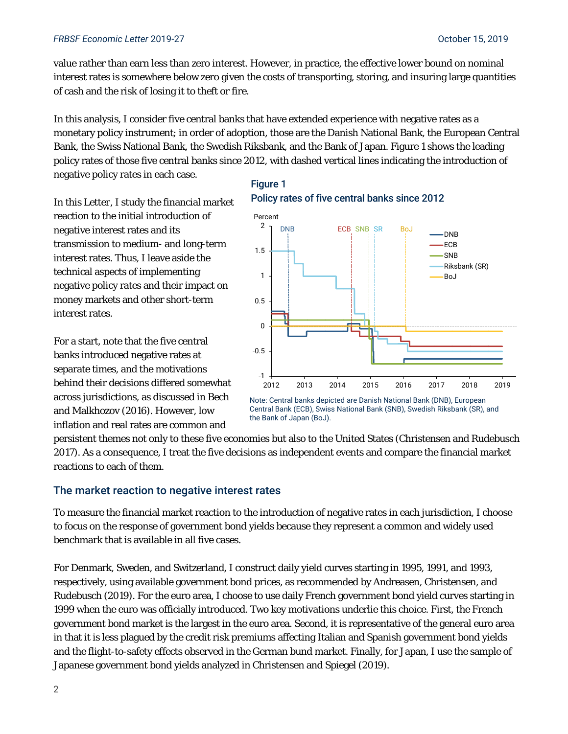#### *FRBSF Economic Letter* 2019-27 October 15, 2019

value rather than earn less than zero interest. However, in practice, the effective lower bound on nominal interest rates is somewhere below zero given the costs of transporting, storing, and insuring large quantities of cash and the risk of losing it to theft or fire.

In this analysis, I consider five central banks that have extended experience with negative rates as a monetary policy instrument; in order of adoption, those are the Danish National Bank, the European Central Bank, the Swiss National Bank, the Swedish Riksbank, and the Bank of Japan. Figure 1 shows the leading policy rates of those five central banks since 2012, with dashed vertical lines indicating the introduction of negative policy rates in each case.

In this *Letter*, I study the financial market reaction to the initial introduction of negative interest rates and its transmission to medium- and long-term interest rates. Thus, I leave aside the technical aspects of implementing negative policy rates and their impact on money markets and other short-term interest rates.

For a start, note that the five central banks introduced negative rates at separate times, and the motivations behind their decisions differed somewhat across jurisdictions, as discussed in Bech and Malkhozov (2016). However, low inflation and real rates are common and

## Figure 1 Policy rates of five central banks since 2012



Note: Central banks depicted are Danish National Bank (DNB), European Central Bank (ECB), Swiss National Bank (SNB), Swedish Riksbank (SR), and the Bank of Japan (BoJ).

persistent themes not only to these five economies but also to the United States (Christensen and Rudebusch 2017). As a consequence, I treat the five decisions as independent events and compare the financial market reactions to each of them.

### The market reaction to negative interest rates

To measure the financial market reaction to the introduction of negative rates in each jurisdiction, I choose to focus on the response of government bond yields because they represent a common and widely used benchmark that is available in all five cases.

For Denmark, Sweden, and Switzerland, I construct daily yield curves starting in 1995, 1991, and 1993, respectively, using available government bond prices, as recommended by Andreasen, Christensen, and Rudebusch (2019). For the euro area, I choose to use daily French government bond yield curves starting in 1999 when the euro was officially introduced. Two key motivations underlie this choice. First, the French government bond market is the largest in the euro area. Second, it is representative of the general euro area in that it is less plagued by the credit risk premiums affecting Italian and Spanish government bond yields and the flight-to-safety effects observed in the German bund market. Finally, for Japan, I use the sample of Japanese government bond yields analyzed in Christensen and Spiegel (2019).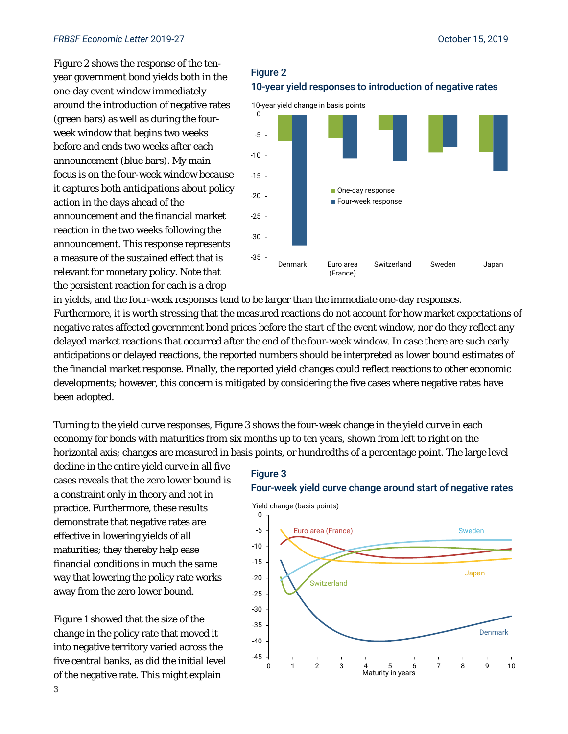#### *FRBSF Economic Letter* 2019-27 October 15, 2019

Figure 2 shows the response of the tenyear government bond yields both in the one-day event window immediately around the introduction of negative rates (green bars) as well as during the fourweek window that begins two weeks before and ends two weeks after each announcement (blue bars). My main focus is on the four-week window because it captures both anticipations about policy action in the days ahead of the announcement and the financial market reaction in the two weeks following the announcement. This response represents a measure of the sustained effect that is relevant for monetary policy. Note that the persistent reaction for each is a drop

## Figure 2 10-year yield responses to introduction of negative rates



in yields, and the four-week responses tend to be larger than the immediate one-day responses. Furthermore, it is worth stressing that the measured reactions do not account for how market expectations of negative rates affected government bond prices before the start of the event window, nor do they reflect any delayed market reactions that occurred after the end of the four-week window. In case there are such early anticipations or delayed reactions, the reported numbers should be interpreted as lower bound estimates of the financial market response. Finally, the reported yield changes could reflect reactions to other economic developments; however, this concern is mitigated by considering the five cases where negative rates have been adopted.

Turning to the yield curve responses, Figure 3 shows the four-week change in the yield curve in each economy for bonds with maturities from six months up to ten years, shown from left to right on the horizontal axis; changes are measured in basis points, or hundredths of a percentage point. The large level

decline in the entire yield curve in all five cases reveals that the zero lower bound is a constraint only in theory and not in practice. Furthermore, these results demonstrate that negative rates are effective in lowering yields of all maturities; they thereby help ease financial conditions in much the same way that lowering the policy rate works away from the zero lower bound.

Figure 1 showed that the size of the change in the policy rate that moved it into negative territory varied across the five central banks, as did the initial level of the negative rate. This might explain

## Figure 3

#### Four-week yield curve change around start of negative rates

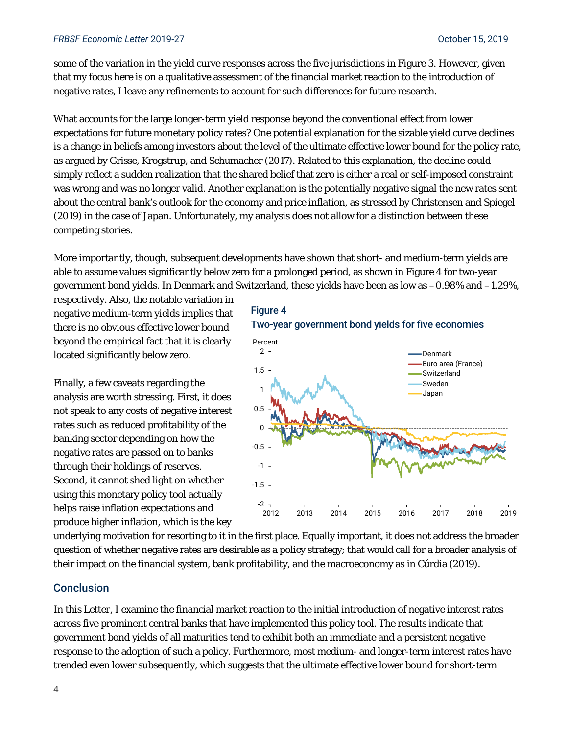#### *FRBSF Economic Letter* 2019-27 October 15, 2019

some of the variation in the yield curve responses across the five jurisdictions in Figure 3. However, given that my focus here is on a qualitative assessment of the financial market reaction to the introduction of negative rates, I leave any refinements to account for such differences for future research.

What accounts for the large longer-term yield response beyond the conventional effect from lower expectations for future monetary policy rates? One potential explanation for the sizable yield curve declines is a change in beliefs among investors about the level of the ultimate effective lower bound for the policy rate, as argued by Grisse, Krogstrup, and Schumacher (2017). Related to this explanation, the decline could simply reflect a sudden realization that the shared belief that zero is either a real or self-imposed constraint was wrong and was no longer valid. Another explanation is the potentially negative signal the new rates sent about the central bank's outlook for the economy and price inflation, as stressed by Christensen and Spiegel (2019) in the case of Japan. Unfortunately, my analysis does not allow for a distinction between these competing stories.

More importantly, though, subsequent developments have shown that short- and medium-term yields are able to assume values significantly below zero for a prolonged period, as shown in Figure 4 for two-year government bond yields. In Denmark and Switzerland, these yields have been as low as –0.98% and –1.29%,

respectively. Also, the notable variation in negative medium-term yields implies that there is no obvious effective lower bound beyond the empirical fact that it is clearly located significantly below zero.

Finally, a few caveats regarding the analysis are worth stressing. First, it does not speak to any costs of negative interest rates such as reduced profitability of the banking sector depending on how the negative rates are passed on to banks through their holdings of reserves. Second, it cannot shed light on whether using this monetary policy tool actually helps raise inflation expectations and produce higher inflation, which is the key





underlying motivation for resorting to it in the first place. Equally important, it does not address the broader question of whether negative rates are desirable as a policy strategy; that would call for a broader analysis of their impact on the financial system, bank profitability, and the macroeconomy as in Cúrdia (2019).

#### Conclusion

In this *Letter*, I examine the financial market reaction to the initial introduction of negative interest rates across five prominent central banks that have implemented this policy tool. The results indicate that government bond yields of all maturities tend to exhibit both an immediate and a persistent negative response to the adoption of such a policy. Furthermore, most medium- and longer-term interest rates have trended even lower subsequently, which suggests that the ultimate effective lower bound for short-term